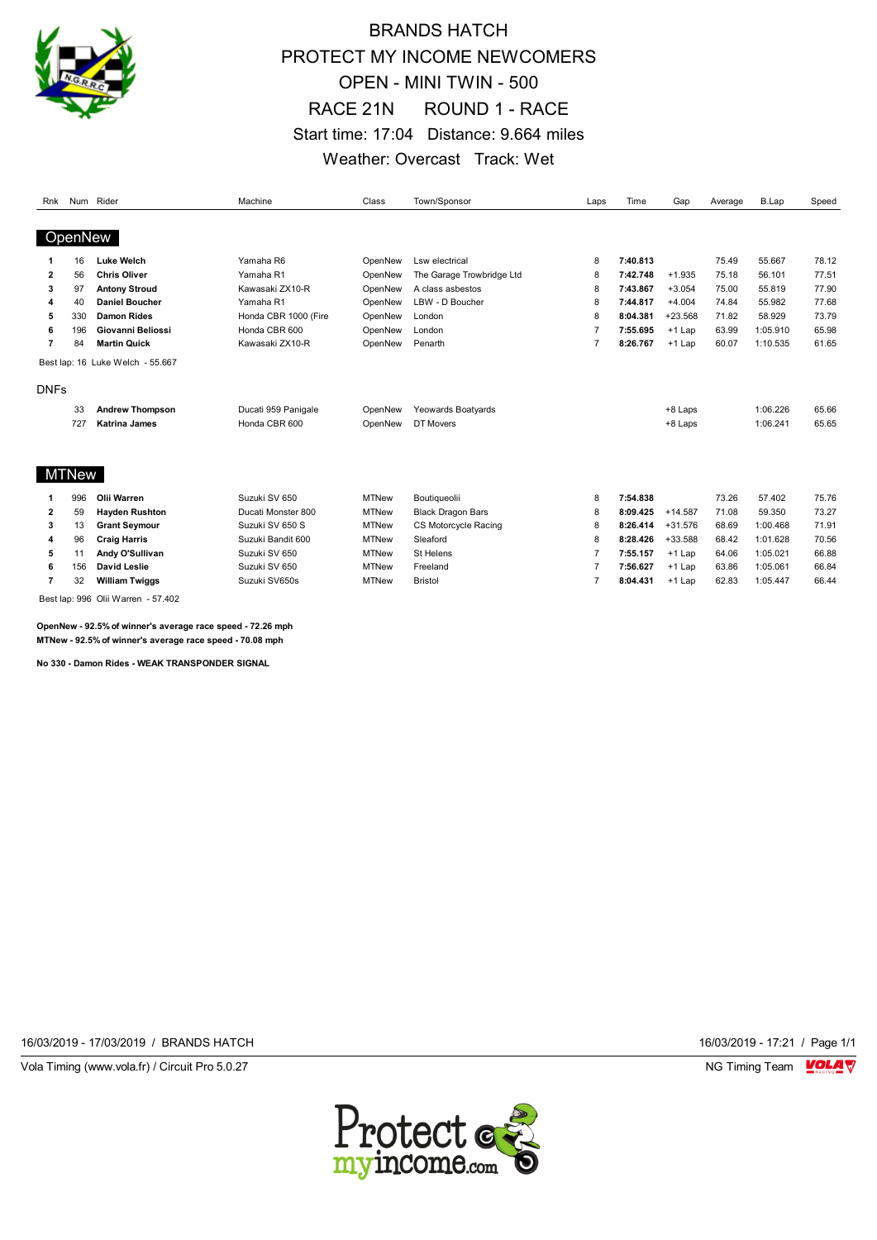

## BRANDS HATCH PROTECT MY INCOME NEWCOMERS OPEN - MINI TWIN - 500 RACE 21N ROUND 1 - RACE Start time: 17:04 Distance: 9.664 miles Weather: Overcast Track: Wet

| Rnk            |         | Num Rider                        | Machine              | Class        | Town/Sponsor              | Laps           | Time     | Gap       | Average | <b>B.Lap</b> | Speed |
|----------------|---------|----------------------------------|----------------------|--------------|---------------------------|----------------|----------|-----------|---------|--------------|-------|
|                |         |                                  |                      |              |                           |                |          |           |         |              |       |
|                | OpenNew |                                  |                      |              |                           |                |          |           |         |              |       |
|                | 16      | <b>Luke Welch</b>                | Yamaha R6            | OpenNew      | Lsw electrical            | 8              | 7:40.813 |           | 75.49   | 55.667       | 78.12 |
| $\overline{2}$ | 56      | <b>Chris Oliver</b>              | Yamaha R1            | OpenNew      | The Garage Trowbridge Ltd | 8              | 7:42.748 | $+1.935$  | 75.18   | 56.101       | 77.51 |
| 3              | 97      | <b>Antony Stroud</b>             | Kawasaki ZX10-R      | OpenNew      | A class asbestos          | 8              | 7:43.867 | $+3.054$  | 75.00   | 55.819       | 77.90 |
| Δ              | 40      | <b>Daniel Boucher</b>            | Yamaha R1            | OpenNew      | LBW - D Boucher           | 8              | 7:44.817 | $+4.004$  | 74.84   | 55.982       | 77.68 |
| 5              | 330     | <b>Damon Rides</b>               | Honda CBR 1000 (Fire | OpenNew      | London                    | 8              | 8:04.381 | $+23.568$ | 71.82   | 58.929       | 73.79 |
| 6              | 196     | Giovanni Beliossi                | Honda CBR 600        | OpenNew      | London                    | $\overline{7}$ | 7:55.695 | +1 Lap    | 63.99   | 1:05.910     | 65.98 |
| 7              | 84      | <b>Martin Quick</b>              | Kawasaki ZX10-R      | OpenNew      | Penarth                   | $\overline{7}$ | 8:26.767 | +1 Lap    | 60.07   | 1:10.535     | 61.65 |
|                |         | Best lap: 16 Luke Welch - 55.667 |                      |              |                           |                |          |           |         |              |       |
| <b>DNFs</b>    |         |                                  |                      |              |                           |                |          |           |         |              |       |
|                | 33      | <b>Andrew Thompson</b>           | Ducati 959 Panigale  | OpenNew      | Yeowards Boatyards        |                |          | +8 Laps   |         | 1:06.226     | 65.66 |
|                | 727     | <b>Katrina James</b>             | Honda CBR 600        | OpenNew      | DT Movers                 |                |          | +8 Laps   |         | 1:06.241     | 65.65 |
|                |         |                                  |                      |              |                           |                |          |           |         |              |       |
|                | MTNew   |                                  |                      |              |                           |                |          |           |         |              |       |
|                | 996     | Olii Warren                      | Suzuki SV 650        | <b>MTNew</b> | Boutiqueolii              | 8              | 7:54.838 |           | 73.26   | 57.402       | 75.76 |
| $\overline{2}$ | 59      | <b>Hayden Rushton</b>            | Ducati Monster 800   | <b>MTNew</b> | <b>Black Dragon Bars</b>  | 8              | 8:09.425 | $+14.587$ | 71.08   | 59.350       | 73.27 |
| 3              | 13      | <b>Grant Seymour</b>             | Suzuki SV 650 S      | <b>MTNew</b> | CS Motorcycle Racing      | 8              | 8:26.414 | $+31.576$ | 68.69   | 1:00.468     | 71.91 |
| 4              | 96      | <b>Craig Harris</b>              | Suzuki Bandit 600    | <b>MTNew</b> | Sleaford                  | 8              | 8:28.426 | +33.588   | 68.42   | 1:01.628     | 70.56 |
| 5              | 11      | Andy O'Sullivan                  | Suzuki SV 650        | <b>MTNew</b> | St Helens                 | $\overline{7}$ | 7:55.157 | $+1$ Lap  | 64.06   | 1:05.021     | 66.88 |
| 6              | 156     | <b>David Leslie</b>              | Suzuki SV 650        | <b>MTNew</b> | Freeland                  | $\overline{7}$ | 7:56.627 | $+1$ Lap  | 63.86   | 1:05.061     | 66.84 |
| 7              | 32      | <b>William Twiggs</b>            | Suzuki SV650s        | <b>MTNew</b> | <b>Bristol</b>            | $\overline{7}$ | 8:04.431 | $+1$ Lap  | 62.83   | 1:05.447     | 66.44 |

Best lap: 996 Olii Warren - 57.402

**OpenNew - 92.5% of winner's average race speed - 72.26 mph MTNew - 92.5% of winner's average race speed - 70.08 mph**

**No 330 - Damon Rides - WEAK TRANSPONDER SIGNAL**

16/03/2019 - 17/03/2019 / BRANDS HATCH 16/03/2019 - 17:21 / Page 1/1

Vola Timing (www.vola.fr) / Circuit Pro 5.0.27 **NG Timing Team MOLA View Area** NG Timing Team MOLA View Area NG Timing Team MOLA View Area NG Timing Team MOLA View Area NG Timing Team MOLA View Area NG Timing Team MOLA Vie

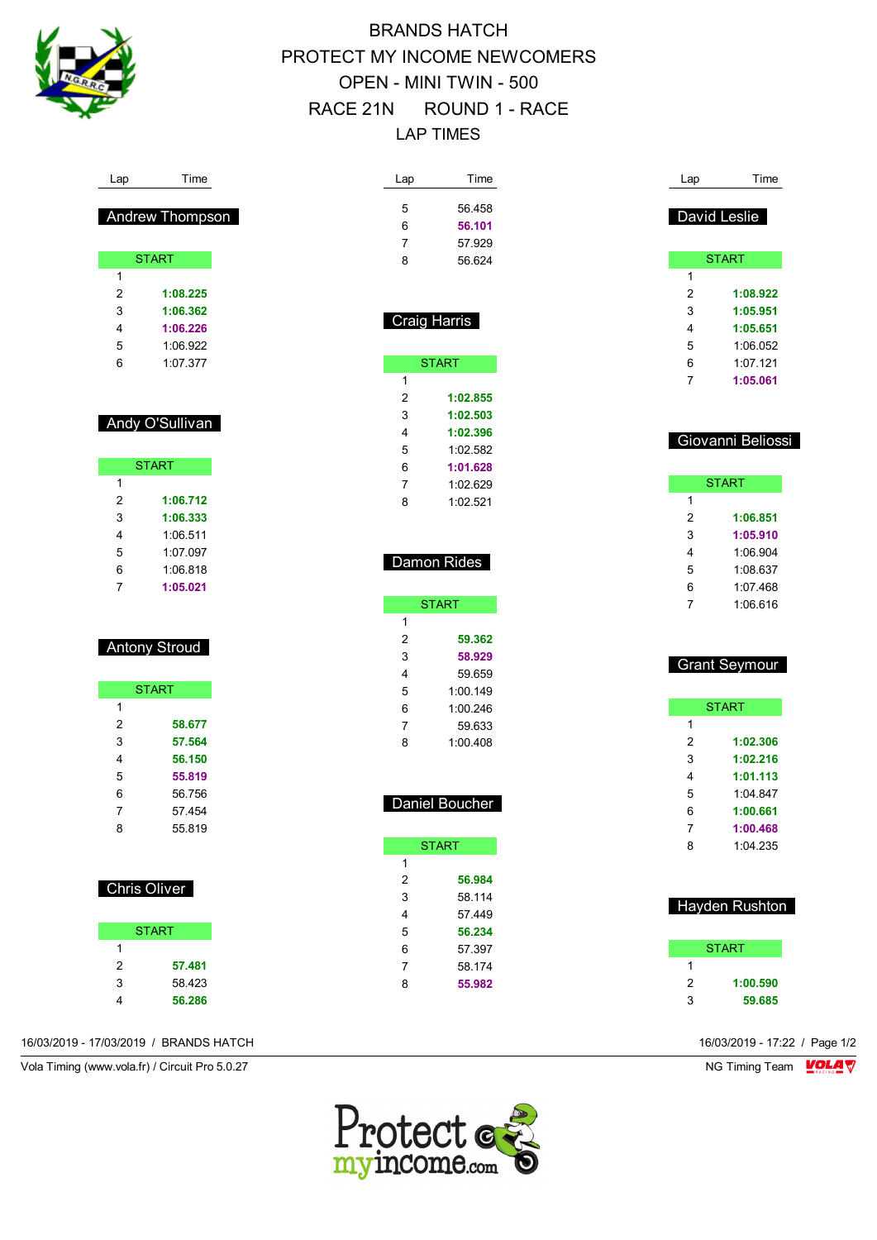

# BRANDS HATCH PROTECT MY INCOME NEWCOMERS OPEN - MINI TWIN - 500 RACE 21N ROUND 1 - RACE LAP TIMES

| Lap          | Time                 | Lap          | Time                | Lap          | Time                  |
|--------------|----------------------|--------------|---------------------|--------------|-----------------------|
|              |                      | 5            | 56.458              |              | David Leslie          |
|              | Andrew Thompson      | 6            | 56.101              |              |                       |
|              |                      | 7            | 57.929              |              |                       |
|              | <b>START</b>         | 8            | 56.624              |              | <b>START</b>          |
| $\mathbf{1}$ |                      |              |                     | $\mathbf{1}$ |                       |
| 2            | 1:08.225             |              |                     | 2            | 1:08.922              |
| 3            | 1:06.362             |              | <b>Craig Harris</b> | 3            | 1:05.951              |
| 4            | 1:06.226             |              |                     | 4            | 1:05.651              |
| 5            | 1:06.922             |              |                     | 5            | 1:06.052              |
| 6            | 1:07.377             |              | <b>START</b>        | 6            | 1:07.121              |
|              |                      | 1            |                     | 7            | 1:05.061              |
|              |                      | 2            | 1:02.855            |              |                       |
|              | Andy O'Sullivan      | 3            | 1:02.503            |              |                       |
|              |                      | 4            | 1:02.396            |              | Giovanni Beliossi     |
|              |                      | 5            | 1:02.582            |              |                       |
|              | <b>START</b>         | 6            | 1:01.628            |              |                       |
| 1            |                      | 7            | 1:02.629            |              | <b>START</b>          |
| 2            | 1:06.712             | 8            | 1:02.521            | 1            |                       |
| 3            | 1:06.333             |              |                     | 2            | 1:06.851              |
| 4            | 1:06.511             |              |                     | 3            | 1:05.910              |
| 5            | 1:07.097             |              | Damon Rides         | 4            | 1:06.904              |
| 6            | 1:06.818             |              |                     | 5            | 1:08.637              |
| 7            | 1:05.021             |              |                     | 6            | 1:07.468              |
|              |                      |              | <b>START</b>        | 7            | 1:06.616              |
|              |                      | $\mathbf{1}$ |                     |              |                       |
|              | <b>Antony Stroud</b> | 2            | 59.362              |              |                       |
|              |                      | 3            | 58.929              |              | <b>Grant Seymour</b>  |
|              |                      | 4            | 59.659              |              |                       |
|              | <b>START</b>         | 5            | 1:00.149            |              |                       |
| $\mathbf{1}$ |                      | 6            | 1:00.246            |              | <b>START</b>          |
| 2            | 58.677               | 7            | 59.633              | 1            |                       |
| 3            | 57.564               | 8            | 1:00.408            | 2            | 1:02.306              |
| 4            | 56.150               |              |                     | 3            | 1:02.216              |
| 5            | 55.819               |              |                     | 4            | 1:01.113              |
| 6            | 56.756               |              | Daniel Boucher      | 5            | 1:04.847              |
| 7            | 57.454               |              |                     | 6            | 1:00.661              |
| 8            | 55.819               |              |                     | 7            | 1:00.468              |
|              |                      |              | <b>START</b>        | 8            | 1:04.235              |
|              |                      | $\mathbf{1}$ |                     |              |                       |
|              | <b>Chris Oliver</b>  | 2            | 56.984              |              |                       |
|              |                      | 3            | 58.114              |              | <b>Hayden Rushton</b> |
|              |                      | 4            | 57.449              |              |                       |
|              | <b>START</b>         | 5            | 56.234              |              |                       |
| $\mathbf{1}$ |                      | 6            | 57.397              |              | <b>START</b>          |
| 2            | 57.481               | 7            | 58.174              | 1            |                       |
| 3            | 58.423               | 8            | 55.982              | 2            | 1:00.590              |
| 4            | 56.286               |              |                     | 3            | 59.685                |

16/03/2019 - 17/03/2019 / BRANDS HATCH 16/03/2019 - 17:22 / Page 1/2

Vola Timing (www.vola.fr) / Circuit Pro 5.0.27 NG Timing Team VOLA V

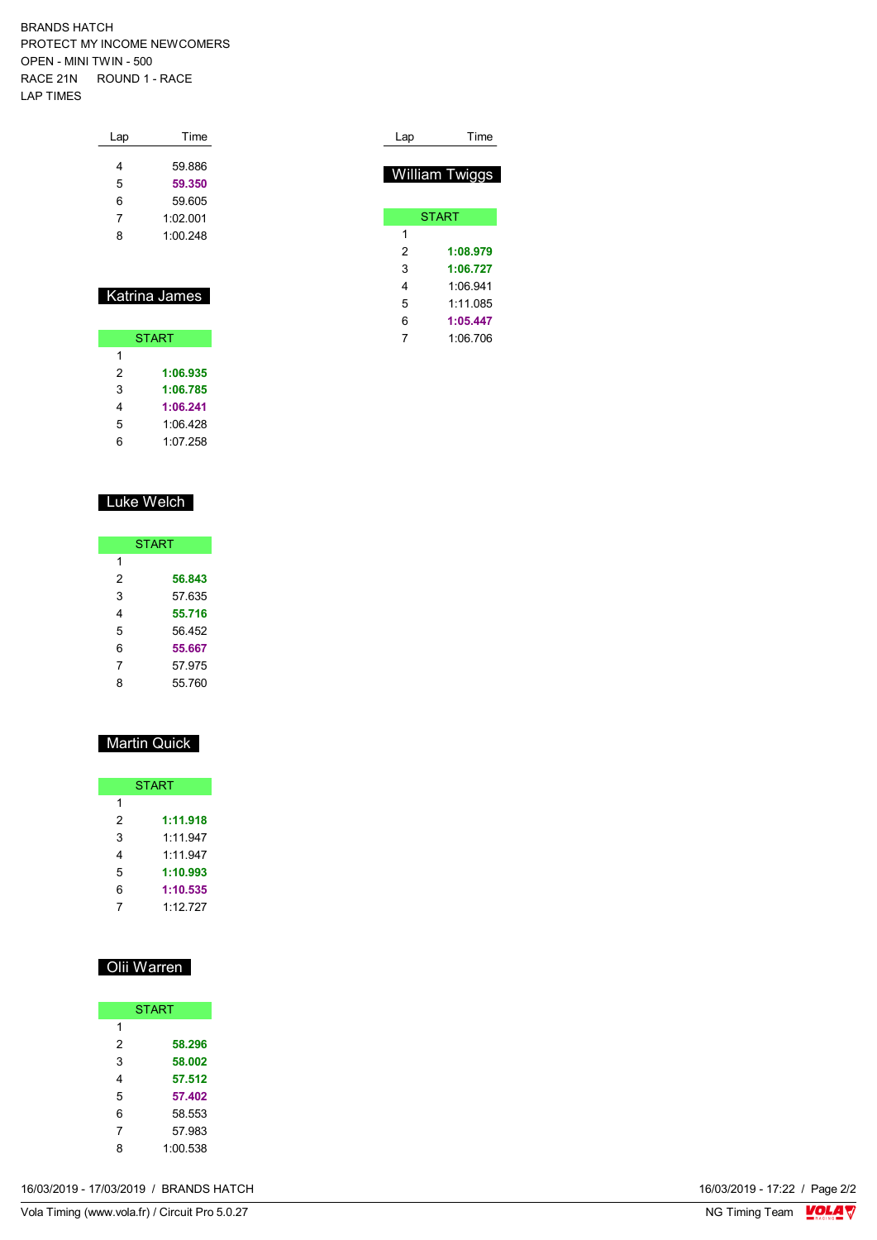BRANDS HATCH PROTECT MY INCOME NEWCOMERS OPEN - MINI TWIN - 500 RACE 21N ROUND 1 - RACE LAP TIMES

| Lap | Time     |
|-----|----------|
| 4   | 59.886   |
| 5   | 59.350   |
| 6   | 59.605   |
| 7   | 1.02001  |
| 8   | 1:00.248 |
|     |          |

#### Katrina James

| <b>START</b> |          |  |  |  |  |  |  |  |  |
|--------------|----------|--|--|--|--|--|--|--|--|
| 1            |          |  |  |  |  |  |  |  |  |
| 2            | 1:06.935 |  |  |  |  |  |  |  |  |
| 3            | 1:06.785 |  |  |  |  |  |  |  |  |
| 4            | 1:06.241 |  |  |  |  |  |  |  |  |
| 5            | 1.06428  |  |  |  |  |  |  |  |  |
| հ            | 1:07.258 |  |  |  |  |  |  |  |  |

#### Luke Welch

|   | <b>START</b> |
|---|--------------|
| 1 |              |
| 2 | 56.843       |
| 3 | 57.635       |
| 4 | 55.716       |
| 5 | 56.452       |
| 6 | 55.667       |
| 7 | 57.975       |
| ጸ | 55.760       |

### Martin Quick

|   | <b>START</b> |
|---|--------------|
| 1 |              |
| 2 | 1:11.918     |
| 3 | 1:11.947     |
| 4 | 1.11947      |
| 5 | 1:10.993     |
| 6 | 1:10.535     |
|   | 1.12727      |

### Olii Warren

|   | <b>START</b> |
|---|--------------|
| 1 |              |
| 2 | 58.296       |
| 3 | 58.002       |
| 4 | 57.512       |
| 5 | 57.402       |
| 6 | 58.553       |
| 7 | 57.983       |
| 8 | 1:00.538     |

| 16/03/2019 - 17/03/2019 / | 16/03/2019 - 17:22 / Page 2/2 |
|---------------------------|-------------------------------|
| / BRANDS HATCH            |                               |
|                           |                               |

| Lap | Time                  |
|-----|-----------------------|
|     |                       |
|     | <b>William Twiggs</b> |
|     |                       |
|     | <b>START</b>          |
| 1   |                       |
| 2   | 1:08.979              |
| 3   | 1:06.727              |
| 4   | 1.06941               |
| 5   | 1:11.085              |
| 6   | 1:05.447              |
| 7   | 1:06.706              |